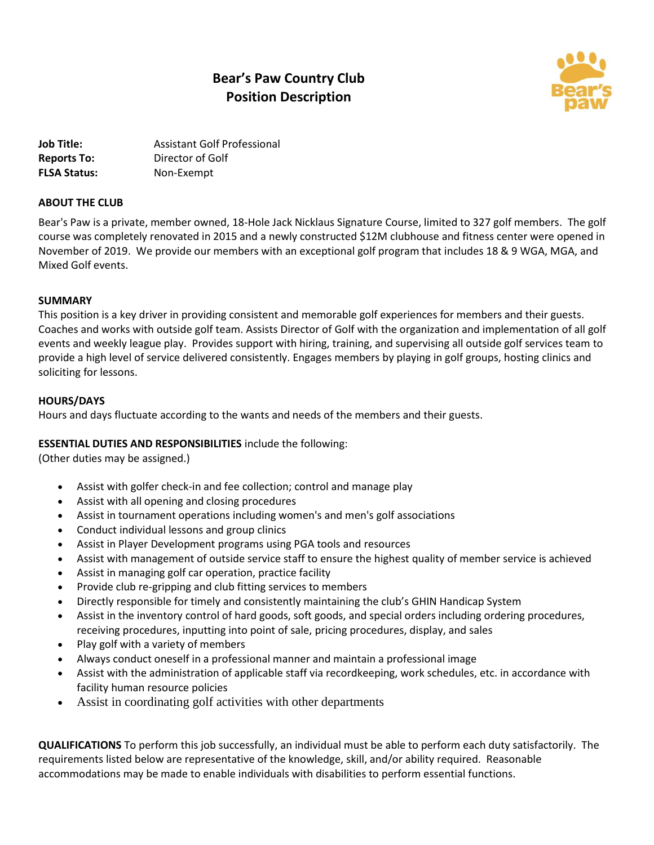# **Bear's Paw Country Club Position Description**



**Job Title:** Assistant Golf Professional **Reports To:** Director of Golf **FLSA Status:** Non-Exempt

## **ABOUT THE CLUB**

Bear's Paw is a private, member owned, 18-Hole Jack Nicklaus Signature Course, limited to 327 golf members. The golf course was completely renovated in 2015 and a newly constructed \$12M clubhouse and fitness center were opened in November of 2019. We provide our members with an exceptional golf program that includes 18 & 9 WGA, MGA, and Mixed Golf events.

## **SUMMARY**

This position is a key driver in providing consistent and memorable golf experiences for members and their guests. Coaches and works with outside golf team. Assists Director of Golf with the organization and implementation of all golf events and weekly league play. Provides support with hiring, training, and supervising all outside golf services team to provide a high level of service delivered consistently. Engages members by playing in golf groups, hosting clinics and soliciting for lessons.

## **HOURS/DAYS**

Hours and days fluctuate according to the wants and needs of the members and their guests.

## **ESSENTIAL DUTIES AND RESPONSIBILITIES** include the following:

(Other duties may be assigned.)

- Assist with golfer check-in and fee collection; control and manage play
- Assist with all opening and closing procedures
- Assist in tournament operations including women's and men's golf associations
- Conduct individual lessons and group clinics
- Assist in Player Development programs using PGA tools and resources
- Assist with management of outside service staff to ensure the highest quality of member service is achieved
- Assist in managing golf car operation, practice facility
- Provide club re-gripping and club fitting services to members
- Directly responsible for timely and consistently maintaining the club's GHIN Handicap System
- Assist in the inventory control of hard goods, soft goods, and special orders including ordering procedures, receiving procedures, inputting into point of sale, pricing procedures, display, and sales
- Play golf with a variety of members
- Always conduct oneself in a professional manner and maintain a professional image
- Assist with the administration of applicable staff via recordkeeping, work schedules, etc. in accordance with facility human resource policies
- Assist in coordinating golf activities with other departments

**QUALIFICATIONS** To perform this job successfully, an individual must be able to perform each duty satisfactorily. The requirements listed below are representative of the knowledge, skill, and/or ability required. Reasonable accommodations may be made to enable individuals with disabilities to perform essential functions.